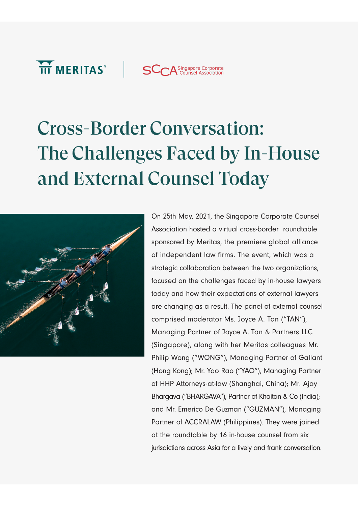

# Cross-Border Conversation: The Challenges Faced by In-House and External Counsel Today



On 25th May, 2021, the Singapore Corporate Counsel Association hosted a virtual cross-border roundtable sponsored by Meritas, the premiere global alliance of independent law firms. The event, which was a strategic collaboration between the two organizations, focused on the challenges faced by in-house lawyers today and how their expectations of external lawyers are changing as a result. The panel of external counsel comprised moderator Ms. Joyce A. Tan ("TAN"), Managing Partner of Joyce A. Tan & Partners LLC (Singapore), along with her Meritas colleagues Mr. Philip Wong ("WONG"), Managing Partner of Gallant (Hong Kong); Mr. Yao Rao ("YAO"), Managing Partner of HHP Attorneys-at-law (Shanghai, China); Mr. Ajay Bhargava ("BHARGAVA"), Partner of Khaitan & Co (India); and Mr. Emerico De Guzman ("GUZMAN"), Managing Partner of ACCRALAW (Philippines). They were joined at the roundtable by 16 in-house counsel from six jurisdictions across Asia for a lively and frank conversation.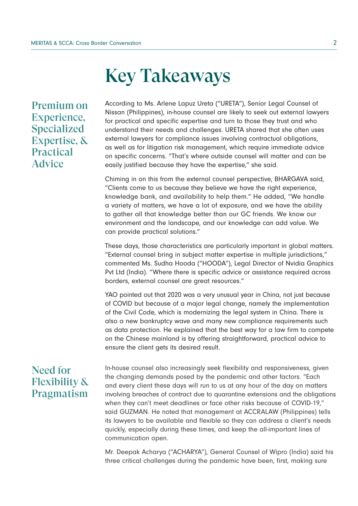## Key Takeaways

Premium on Experience, Specialized Expertise, & Practical Advice

According to Ms. Arlene Lapuz Ureta ("URETA"), Senior Legal Counsel of Nissan (Philippines), in-house counsel are likely to seek out external lawyers for practical and specific expertise and turn to those they trust and who understand their needs and challenges. URETA shared that she often uses external lawyers for compliance issues involving contractual obligations, as well as for litigation risk management, which require immediate advice on specific concerns. "That's where outside counsel will matter and can be easily justified because they have the expertise," she said.

Chiming in on this from the external counsel perspective, BHARGAVA said, "Clients come to us because they believe we have the right experience, knowledge bank, and availability to help them." He added, "We handle a variety of matters, we have a lot of exposure, and we have the ability to gather all that knowledge better than our GC friends. We know our environment and the landscape, and our knowledge can add value. We can provide practical solutions."

These days, those characteristics are particularly important in global matters. "External counsel bring in subject matter expertise in multiple jurisdictions," commented Ms. Sudha Hooda ("HOODA"), Legal Director of Nvidia Graphics Pvt Ltd (India). "Where there is specific advice or assistance required across borders, external counsel are great resources."

YAO pointed out that 2020 was a very unusual year in China, not just because of COVID but because of a major legal change, namely the implementation of the Civil Code, which is modernizing the legal system in China. There is also a new bankruptcy wave and many new compliance requirements such as data protection. He explained that the best way for a law firm to compete on the Chinese mainland is by offering straightforward, practical advice to ensure the client gets its desired result.

## Need for Flexibility & Pragmatism

In-house counsel also increasingly seek flexibility and responsiveness, given the changing demands posed by the pandemic and other factors. "Each and every client these days will run to us at any hour of the day on matters involving breaches of contract due to quarantine extensions and the obligations when they can't meet deadlines or face other risks because of COVID-19," said GUZMAN. He noted that management at ACCRALAW (Philippines) tells its lawyers to be available and flexible so they can address a client's needs quickly, especially during these times, and keep the all-important lines of communication open.

Mr. Deepak Acharya ("ACHARYA"), General Counsel of Wipro (India) said his three critical challenges during the pandemic have been, first, making sure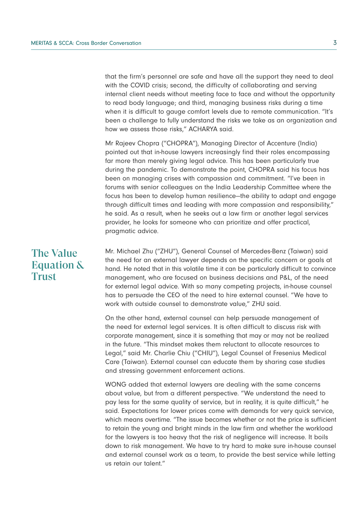that the firm's personnel are safe and have all the support they need to deal with the COVID crisis; second, the difficulty of collaborating and serving internal client needs without meeting face to face and without the opportunity to read body language; and third, managing business risks during a time when it is difficult to gauge comfort levels due to remote communication. "It's been a challenge to fully understand the risks we take as an organization and how we assess those risks," ACHARYA said.

Mr Rajeev Chopra ("CHOPRA"), Managing Director of Accenture (India) pointed out that in-house lawyers increasingly find their roles encompassing far more than merely giving legal advice. This has been particularly true during the pandemic. To demonstrate the point, CHOPRA said his focus has been on managing crises with compassion and commitment. "I've been in forums with senior colleagues on the India Leadership Committee where the focus has been to develop human resilience—the ability to adapt and engage through difficult times and leading with more compassion and responsibility," he said. As a result, when he seeks out a law firm or another legal services provider, he looks for someone who can prioritize and offer practical, pragmatic advice.

## The Value Equation & Trust

Mr. Michael Zhu ("ZHU"), General Counsel of Mercedes-Benz (Taiwan) said the need for an external lawyer depends on the specific concern or goals at hand. He noted that in this volatile time it can be particularly difficult to convince management, who are focused on business decisions and P&L, of the need for external legal advice. With so many competing projects, in-house counsel has to persuade the CEO of the need to hire external counsel. "We have to work with outside counsel to demonstrate value," ZHU said.

On the other hand, external counsel can help persuade management of the need for external legal services. It is often difficult to discuss risk with corporate management, since it is something that may or may not be realized in the future. "This mindset makes them reluctant to allocate resources to Legal," said Mr. Charlie Chiu ("CHIU"), Legal Counsel of Fresenius Medical Care (Taiwan). External counsel can educate them by sharing case studies and stressing government enforcement actions.

WONG added that external lawyers are dealing with the same concerns about value, but from a different perspective. "We understand the need to pay less for the same quality of service, but in reality, it is quite difficult," he said. Expectations for lower prices come with demands for very quick service, which means overtime. "The issue becomes whether or not the price is sufficient to retain the young and bright minds in the law firm and whether the workload for the lawyers is too heavy that the risk of negligence will increase. It boils down to risk management. We have to try hard to make sure in-house counsel and external counsel work as a team, to provide the best service while letting us retain our talent."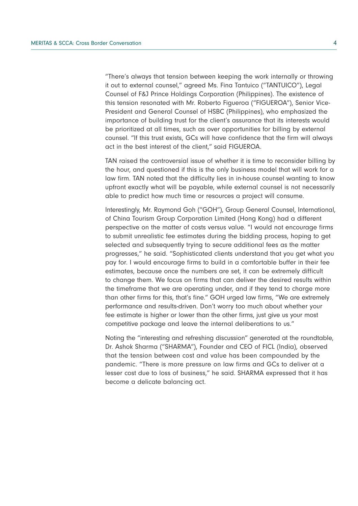"There's always that tension between keeping the work internally or throwing it out to external counsel," agreed Ms. Fina Tantuico ("TANTUICO"), Legal Counsel of F&J Prince Holdings Corporation (Philippines). The existence of this tension resonated with Mr. Roberto Figueroa ("FIGUEROA"), Senior Vice-President and General Counsel of HSBC (Philippines), who emphasized the importance of building trust for the client's assurance that its interests would be prioritized at all times, such as over opportunities for billing by external counsel. "If this trust exists, GCs will have confidence that the firm will always act in the best interest of the client," said FIGUEROA.

TAN raised the controversial issue of whether it is time to reconsider billing by the hour, and questioned if this is the only business model that will work for a law firm. TAN noted that the difficulty lies in in-house counsel wanting to know upfront exactly what will be payable, while external counsel is not necessarily able to predict how much time or resources a project will consume.

Interestingly, Mr. Raymond Goh ("GOH"), Group General Counsel, International, of China Tourism Group Corporation Limited (Hong Kong) had a different perspective on the matter of costs versus value. "I would not encourage firms to submit unrealistic fee estimates during the bidding process, hoping to get selected and subsequently trying to secure additional fees as the matter progresses," he said. "Sophisticated clients understand that you get what you pay for. I would encourage firms to build in a comfortable buffer in their fee estimates, because once the numbers are set, it can be extremely difficult to change them. We focus on firms that can deliver the desired results within the timeframe that we are operating under, and if they tend to charge more than other firms for this, that's fine." GOH urged law firms, "We are extremely performance and results-driven. Don't worry too much about whether your fee estimate is higher or lower than the other firms, just give us your most competitive package and leave the internal deliberations to us."

Noting the "interesting and refreshing discussion" generated at the roundtable, Dr. Ashok Sharma ("SHARMA"), Founder and CEO of FICL (India), observed that the tension between cost and value has been compounded by the pandemic. "There is more pressure on law firms and GCs to deliver at a lesser cost due to loss of business," he said. SHARMA expressed that it has become a delicate balancing act.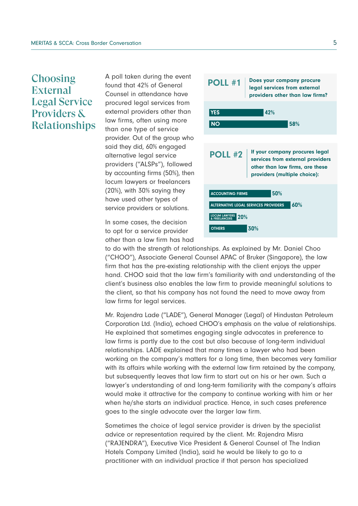## **Choosing External** Legal Service Providers & Relationships

A poll taken during the event found that 42% of General Counsel in attendance have procured legal services from external providers other than law firms, often using more than one type of service provider. Out of the group who said they did, 60% engaged alternative legal service providers ("ALSPs"), followed by accounting firms (50%), then locum lawyers or freelancers (20%), with 30% saying they have used other types of service providers or solutions.

In some cases, the decision to opt for a service provider other than a law firm has had



to do with the strength of relationships. As explained by Mr. Daniel Choo ("CHOO"), Associate General Counsel APAC of Bruker (Singapore), the law firm that has the pre-existing relationship with the client enjoys the upper hand. CHOO said that the law firm's familiarity with and understanding of the client's business also enables the law firm to provide meaningful solutions to the client, so that his company has not found the need to move away from law firms for legal services.

Mr. Rajendra Lade ("LADE"), General Manager (Legal) of Hindustan Petroleum Corporation Ltd. (India), echoed CHOO's emphasis on the value of relationships. He explained that sometimes engaging single advocates in preference to law firms is partly due to the cost but also because of long-term individual relationships. LADE explained that many times a lawyer who had been working on the company's matters for a long time, then becomes very familiar with its affairs while working with the external law firm retained by the company, but subsequently leaves that law firm to start out on his or her own. Such a lawyer's understanding of and long-term familiarity with the company's affairs would make it attractive for the company to continue working with him or her when he/she starts an individual practice. Hence, in such cases preference goes to the single advocate over the larger law firm.

Sometimes the choice of legal service provider is driven by the specialist advice or representation required by the client. Mr. Rajendra Misra ("RAJENDRA"), Executive Vice President & General Counsel of The Indian Hotels Company Limited (India), said he would be likely to go to a practitioner with an individual practice if that person has specialized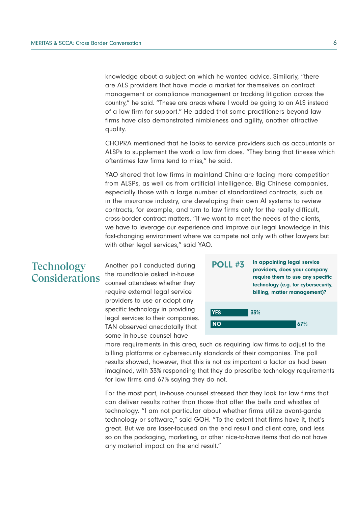knowledge about a subject on which he wanted advice. Similarly, "there are ALS providers that have made a market for themselves on contract management or compliance management or tracking litigation across the country," he said. "These are areas where I would be going to an ALS instead of a law firm for support." He added that some practitioners beyond law firms have also demonstrated nimbleness and agility, another attractive quality.

CHOPRA mentioned that he looks to service providers such as accountants or ALSPs to supplement the work a law firm does. "They bring that finesse which oftentimes law firms tend to miss," he said.

YAO shared that law firms in mainland China are facing more competition from ALSPs, as well as from artificial intelligence. Big Chinese companies, especially those with a large number of standardized contracts, such as in the insurance industry, are developing their own AI systems to review contracts, for example, and turn to law firms only for the really difficult, cross-border contract matters. "If we want to meet the needs of the clients, we have to leverage our experience and improve our legal knowledge in this fast-changing environment where we compete not only with other lawyers but with other legal services," said YAO.

#### **Technology** Considerations

Another poll conducted during the roundtable asked in-house counsel attendees whether they require external legal service providers to use or adopt any specific technology in providing legal services to their companies. TAN observed anecdotally that some in-house counsel have



more requirements in this area, such as requiring law firms to adjust to the billing platforms or cybersecurity standards of their companies. The poll results showed, however, that this is not as important a factor as had been imagined, with 33% responding that they do prescribe technology requirements for law firms and 67% saying they do not.

For the most part, in-house counsel stressed that they look for law firms that can deliver results rather than those that offer the bells and whistles of technology. "I am not particular about whether firms utilize avant-garde technology or software," said GOH. "To the extent that firms have it, that's great. But we are laser-focused on the end result and client care, and less so on the packaging, marketing, or other nice-to-have items that do not have any material impact on the end result."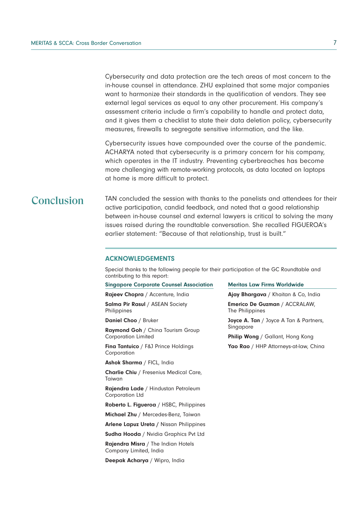Cybersecurity and data protection are the tech areas of most concern to the in-house counsel in attendance. ZHU explained that some major companies want to harmonize their standards in the qualification of vendors. They see external legal services as equal to any other procurement. His company's assessment criteria include a firm's capability to handle and protect data, and it gives them a checklist to state their data deletion policy, cybersecurity measures, firewalls to segregate sensitive information, and the like.

Cybersecurity issues have compounded over the course of the pandemic. ACHARYA noted that cybersecurity is a primary concern for his company, which operates in the IT industry. Preventing cyberbreaches has become more challenging with remote-working protocols, as data located on laptops at home is more difficult to protect.

#### **Conclusion**

TAN concluded the session with thanks to the panelists and attendees for their active participation, candid feedback, and noted that a good relationship between in-house counsel and external lawyers is critical to solving the many issues raised during the roundtable conversation. She recalled FIGUEROA's earlier statement: "Because of that relationship, trust is built."

#### ACKNOWLEDGEMENTS

Special thanks to the following people for their participation of the GC Roundtable and contributing to this report:

#### Singapore Corporate Counsel Association

Rajeev Chopra / Accenture, India

Salma Pir Rasul / ASEAN Society **Philippines** 

Daniel Choo / Bruker

Raymond Goh / China Tourism Group Corporation Limited

Fina Tantuico / F&J Prince Holdings Corporation

Ashok Sharma / FICL, India

Charlie Chiu / Fresenius Medical Care, Taiwan

Rajendra Lade / Hindustan Petroleum Corporation Ltd

Roberto L. Figueroa / HSBC, Philippines

Michael Zhu / Mercedes-Benz, Taiwan

Arlene Lapuz Ureta / Nissan Philippines

Sudha Hooda / Nvidia Graphics Pvt Ltd

Rajendra Misra / The Indian Hotels Company Limited, India

Deepak Acharya / Wipro, India

#### Meritas Law Firms Worldwide

Ajay Bhargava / Khaitan & Co, India

Emerico De Guzman / ACCRALAW, The Philippines

Joyce A. Tan / Joyce A Tan & Partners, Singapore

Philip Wong / Gallant, Hong Kong Yao Rao / HHP Attorneys-at-law, China